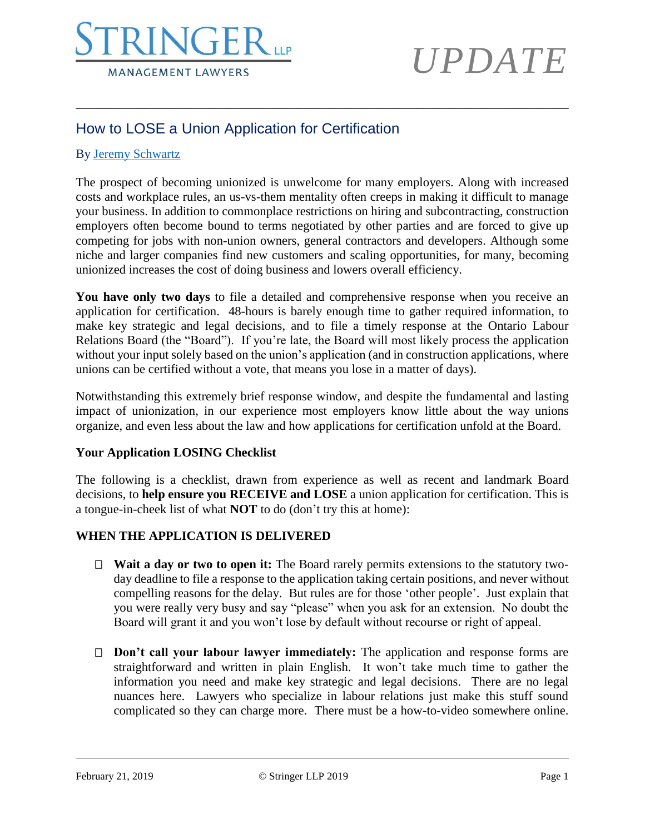

### How to LOSE a Union Application for Certification

#### By [Jeremy Schwartz](https://www.stringerllp.com/our-team/jeremy-d-schwartz)

The prospect of becoming unionized is unwelcome for many employers. Along with increased costs and workplace rules, an us-vs-them mentality often creeps in making it difficult to manage your business. In addition to commonplace restrictions on hiring and subcontracting, construction employers often become bound to terms negotiated by other parties and are forced to give up competing for jobs with non-union owners, general contractors and developers. Although some niche and larger companies find new customers and scaling opportunities, for many, becoming unionized increases the cost of doing business and lowers overall efficiency.

\_\_\_\_\_\_\_\_\_\_\_\_\_\_\_\_\_\_\_\_\_\_\_\_\_\_\_\_\_\_\_\_\_\_\_\_\_\_\_\_\_\_\_\_\_\_\_\_\_\_\_\_\_\_\_\_\_\_\_\_\_\_\_\_\_\_\_\_\_\_\_\_\_\_\_\_\_\_

**You have only two days** to file a detailed and comprehensive response when you receive an application for certification. 48-hours is barely enough time to gather required information, to make key strategic and legal decisions, and to file a timely response at the Ontario Labour Relations Board (the "Board"). If you're late, the Board will most likely process the application without your input solely based on the union's application (and in construction applications, where unions can be certified without a vote, that means you lose in a matter of days).

Notwithstanding this extremely brief response window, and despite the fundamental and lasting impact of unionization, in our experience most employers know little about the way unions organize, and even less about the law and how applications for certification unfold at the Board.

#### **Your Application LOSING Checklist**

The following is a checklist, drawn from experience as well as recent and landmark Board decisions, to **help ensure you RECEIVE and LOSE** a union application for certification. This is a tongue-in-cheek list of what **NOT** to do (don't try this at home):

### **WHEN THE APPLICATION IS DELIVERED**

- **Wait a day or two to open it:** The Board rarely permits extensions to the statutory twoday deadline to file a response to the application taking certain positions, and never without compelling reasons for the delay. But rules are for those 'other people'. Just explain that you were really very busy and say "please" when you ask for an extension. No doubt the Board will grant it and you won't lose by default without recourse or right of appeal.
- **Don't call your labour lawyer immediately:** The application and response forms are straightforward and written in plain English. It won't take much time to gather the information you need and make key strategic and legal decisions. There are no legal nuances here. Lawyers who specialize in labour relations just make this stuff sound complicated so they can charge more. There must be a how-to-video somewhere online.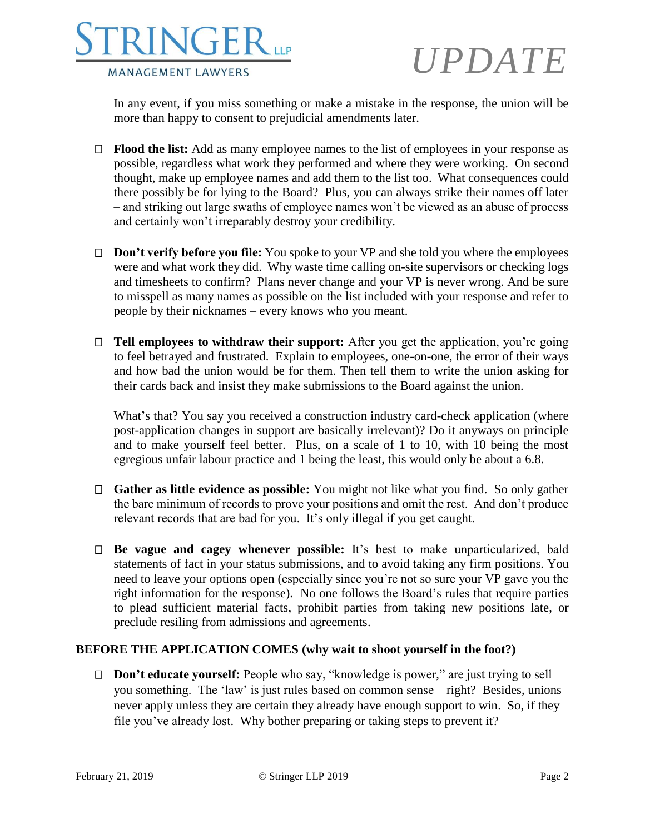

In any event, if you miss something or make a mistake in the response, the union will be more than happy to consent to prejudicial amendments later.

- **Flood the list:** Add as many employee names to the list of employees in your response as possible, regardless what work they performed and where they were working. On second thought, make up employee names and add them to the list too. What consequences could there possibly be for lying to the Board? Plus, you can always strike their names off later – and striking out large swaths of employee names won't be viewed as an abuse of process and certainly won't irreparably destroy your credibility.
- □ **Don't verify before you file:** You spoke to your VP and she told you where the employees were and what work they did. Why waste time calling on-site supervisors or checking logs and timesheets to confirm? Plans never change and your VP is never wrong. And be sure to misspell as many names as possible on the list included with your response and refer to people by their nicknames – every knows who you meant.
- □ **Tell employees to withdraw their support:** After you get the application, you're going to feel betrayed and frustrated. Explain to employees, one-on-one, the error of their ways and how bad the union would be for them. Then tell them to write the union asking for their cards back and insist they make submissions to the Board against the union.

What's that? You say you received a construction industry card-check application (where post-application changes in support are basically irrelevant)? Do it anyways on principle and to make yourself feel better. Plus, on a scale of 1 to 10, with 10 being the most egregious unfair labour practice and 1 being the least, this would only be about a 6.8.

- **Gather as little evidence as possible:** You might not like what you find. So only gather the bare minimum of records to prove your positions and omit the rest. And don't produce relevant records that are bad for you. It's only illegal if you get caught.
- **Be vague and cagey whenever possible:** It's best to make unparticularized, bald statements of fact in your status submissions, and to avoid taking any firm positions. You need to leave your options open (especially since you're not so sure your VP gave you the right information for the response). No one follows the Board's rules that require parties to plead sufficient material facts, prohibit parties from taking new positions late, or preclude resiling from admissions and agreements.

### **BEFORE THE APPLICATION COMES (why wait to shoot yourself in the foot?)**

 **Don't educate yourself:** People who say, "knowledge is power," are just trying to sell you something. The 'law' is just rules based on common sense – right? Besides, unions never apply unless they are certain they already have enough support to win. So, if they file you've already lost. Why bother preparing or taking steps to prevent it?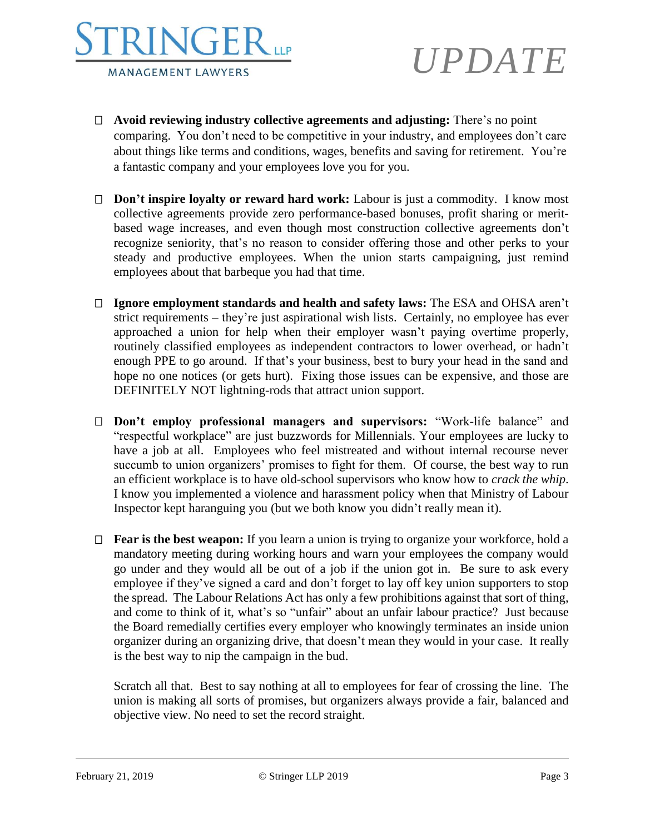

- **Avoid reviewing industry collective agreements and adjusting:** There's no point comparing. You don't need to be competitive in your industry, and employees don't care about things like terms and conditions, wages, benefits and saving for retirement. You're a fantastic company and your employees love you for you.
- **Don't inspire loyalty or reward hard work:** Labour is just a commodity. I know most collective agreements provide zero performance-based bonuses, profit sharing or meritbased wage increases, and even though most construction collective agreements don't recognize seniority, that's no reason to consider offering those and other perks to your steady and productive employees. When the union starts campaigning, just remind employees about that barbeque you had that time.
- **Ignore employment standards and health and safety laws:** The ESA and OHSA aren't strict requirements – they're just aspirational wish lists. Certainly, no employee has ever approached a union for help when their employer wasn't paying overtime properly, routinely classified employees as independent contractors to lower overhead, or hadn't enough PPE to go around. If that's your business, best to bury your head in the sand and hope no one notices (or gets hurt). Fixing those issues can be expensive, and those are DEFINITELY NOT lightning-rods that attract union support.
- **Don't employ professional managers and supervisors:** "Work-life balance" and "respectful workplace" are just buzzwords for Millennials. Your employees are lucky to have a job at all. Employees who feel mistreated and without internal recourse never succumb to union organizers' promises to fight for them. Of course, the best way to run an efficient workplace is to have old-school supervisors who know how to *crack the whip*. I know you implemented a violence and harassment policy when that Ministry of Labour Inspector kept haranguing you (but we both know you didn't really mean it).
- **Fear is the best weapon:** If you learn a union is trying to organize your workforce, hold a mandatory meeting during working hours and warn your employees the company would go under and they would all be out of a job if the union got in. Be sure to ask every employee if they've signed a card and don't forget to lay off key union supporters to stop the spread. The Labour Relations Act has only a few prohibitions against that sort of thing, and come to think of it, what's so "unfair" about an unfair labour practice? Just because the Board remedially certifies every employer who knowingly terminates an inside union organizer during an organizing drive, that doesn't mean they would in your case. It really is the best way to nip the campaign in the bud.

Scratch all that. Best to say nothing at all to employees for fear of crossing the line. The union is making all sorts of promises, but organizers always provide a fair, balanced and objective view. No need to set the record straight.